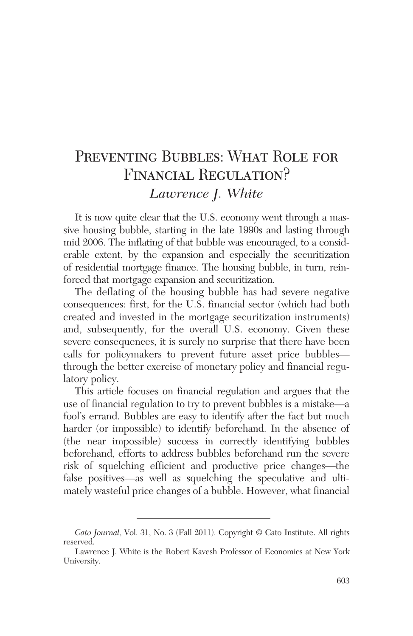# PREVENTING BUBBLES: WHAT ROLE FOR FINANCIAL REGULATION? *Lawrence J. White*

It is now quite clear that the U.S. economy went through a massive housing bubble, starting in the late 1990s and lasting through mid 2006. The inflating of that bubble was encouraged, to a considerable extent, by the expansion and especially the securitization of residential mortgage finance. The housing bubble, in turn, reinforced that mortgage expansion and securitization.

The deflating of the housing bubble has had severe negative consequences: first, for the U.S. financial sector (which had both created and invested in the mortgage securitization instruments) and, subsequently, for the overall U.S. economy. Given these severe consequences, it is surely no surprise that there have been calls for policymakers to prevent future asset price bubbles through the better exercise of monetary policy and financial regulatory policy.

This article focuses on financial regulation and argues that the use of financial regulation to try to prevent bubbles is a mistake—a fool's errand. Bubbles are easy to identify after the fact but much harder (or impossible) to identify beforehand. In the absence of (the near impossible) success in correctly identifying bubbles beforehand, efforts to address bubbles beforehand run the severe risk of squelching efficient and productive price changes—the false positives—as well as squelching the speculative and ultimately wasteful price changes of a bubble. However, what financial

*Cato Journal*, Vol. 31, No. 3 (Fall 2011). Copyright © Cato Institute. All rights reserved.

Lawrence J. White is the Robert Kavesh Professor of Economics at New York University.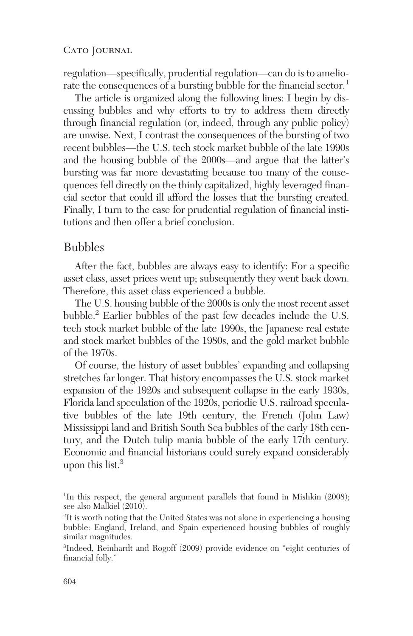regulation—specifically, prudential regulation—can do is to ameliorate the consequences of a bursting bubble for the financial sector.<sup>1</sup>

The article is organized along the following lines: I begin by discussing bubbles and why efforts to try to address them directly through financial regulation (or, indeed, through any public policy) are unwise. Next, I contrast the consequences of the bursting of two recent bubbles—the U.S. tech stock market bubble of the late 1990s and the housing bubble of the 2000s—and argue that the latter's bursting was far more devastating because too many of the consequences fell directly on the thinly capitalized, highly leveraged financial sector that could ill afford the losses that the bursting created. Finally, I turn to the case for prudential regulation of financial institutions and then offer a brief conclusion.

## Bubbles

After the fact, bubbles are always easy to identify: For a specific asset class, asset prices went up; subsequently they went back down. Therefore, this asset class experienced a bubble.

The U.S. housing bubble of the 2000s is only the most recent asset bubble.2 Earlier bubbles of the past few decades include the U.S. tech stock market bubble of the late 1990s, the Japanese real estate and stock market bubbles of the 1980s, and the gold market bubble of the 1970s.

Of course, the history of asset bubbles' expanding and collapsing stretches far longer. That history encompasses the U.S. stock market expansion of the 1920s and subsequent collapse in the early 1930s, Florida land speculation of the 1920s, periodic U.S. railroad speculative bubbles of the late 19th century, the French (John Law) Mississippi land and British South Sea bubbles of the early 18th century, and the Dutch tulip mania bubble of the early 17th century. Economic and financial historians could surely expand considerably upon this list.<sup>3</sup>

<sup>1</sup>In this respect, the general argument parallels that found in Mishkin (2008); see also Malkiel (2010).

2 It is worth noting that the United States was not alone in experiencing a housing bubble: England, Ireland, and Spain experienced housing bubbles of roughly similar magnitudes.

3 Indeed, Reinhardt and Rogoff (2009) provide evidence on "eight centuries of financial folly."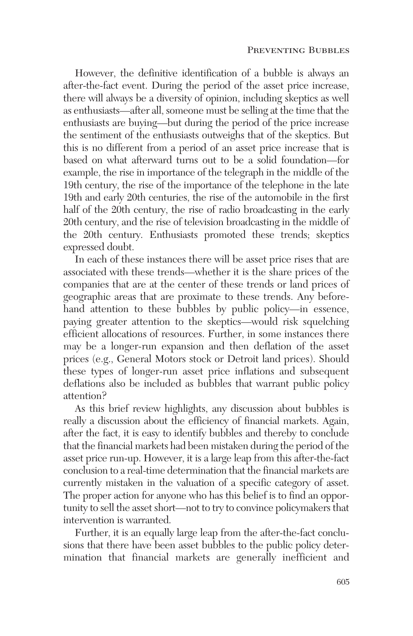However, the definitive identification of a bubble is always an after-the-fact event. During the period of the asset price increase, there will always be a diversity of opinion, including skeptics as well as enthusiasts—after all, someone must be selling at the time that the enthusiasts are buying—but during the period of the price increase the sentiment of the enthusiasts outweighs that of the skeptics. But this is no different from a period of an asset price increase that is based on what afterward turns out to be a solid foundation—for example, the rise in importance of the telegraph in the middle of the 19th century, the rise of the importance of the telephone in the late 19th and early 20th centuries, the rise of the automobile in the first half of the 20th century, the rise of radio broadcasting in the early 20th century, and the rise of television broadcasting in the middle of the 20th century. Enthusiasts promoted these trends; skeptics expressed doubt.

In each of these instances there will be asset price rises that are associated with these trends—whether it is the share prices of the companies that are at the center of these trends or land prices of geographic areas that are proximate to these trends. Any beforehand attention to these bubbles by public policy—in essence, paying greater attention to the skeptics—would risk squelching efficient allocations of resources. Further, in some instances there may be a longer-run expansion and then deflation of the asset prices (e.g., General Motors stock or Detroit land prices). Should these types of longer-run asset price inflations and subsequent deflations also be included as bubbles that warrant public policy attention?

As this brief review highlights, any discussion about bubbles is really a discussion about the efficiency of financial markets. Again, after the fact, it is easy to identify bubbles and thereby to conclude that the financial markets had been mistaken during the period of the asset price run-up. However, it is a large leap from this after-the-fact conclusion to a real-time determination that the financial markets are currently mistaken in the valuation of a specific category of asset. The proper action for anyone who has this belief is to find an opportunity to sell the asset short—not to try to convince policymakers that intervention is warranted.

Further, it is an equally large leap from the after-the-fact conclusions that there have been asset bubbles to the public policy determination that financial markets are generally inefficient and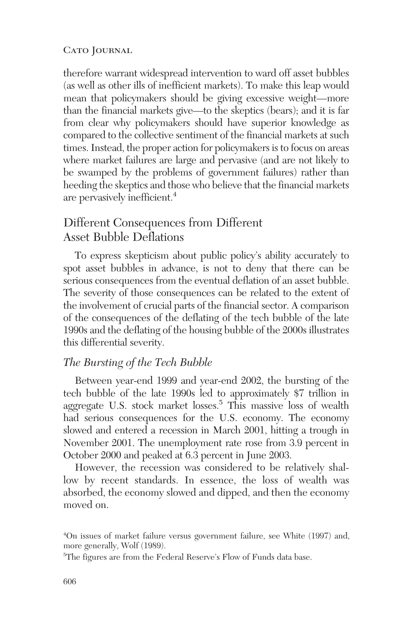therefore warrant widespread intervention to ward off asset bubbles (as well as other ills of inefficient markets). To make this leap would mean that policymakers should be giving excessive weight—more than the financial markets give—to the skeptics (bears); and it is far from clear why policymakers should have superior knowledge as compared to the collective sentiment of the financial markets at such times. Instead, the proper action for policymakers is to focus on areas where market failures are large and pervasive (and are not likely to be swamped by the problems of government failures) rather than heeding the skeptics and those who believe that the financial markets are pervasively inefficient.4

# Different Consequences from Different Asset Bubble Deflations

To express skepticism about public policy's ability accurately to spot asset bubbles in advance, is not to deny that there can be serious consequences from the eventual deflation of an asset bubble. The severity of those consequences can be related to the extent of the involvement of crucial parts of the financial sector. A comparison of the consequences of the deflating of the tech bubble of the late 1990s and the deflating of the housing bubble of the 2000s illustrates this differential severity.

#### *The Bursting of the Tech Bubble*

Between year-end 1999 and year-end 2002, the bursting of the tech bubble of the late 1990s led to approximately \$7 trillion in aggregate U.S. stock market losses.<sup>5</sup> This massive loss of wealth had serious consequences for the U.S. economy. The economy slowed and entered a recession in March 2001, hitting a trough in November 2001. The unemployment rate rose from 3.9 percent in October 2000 and peaked at 6.3 percent in June 2003.

However, the recession was considered to be relatively shallow by recent standards. In essence, the loss of wealth was absorbed, the economy slowed and dipped, and then the economy moved on.

4 On issues of market failure versus government failure, see White (1997) and, more generally, Wolf (1989).

5 The figures are from the Federal Reserve's Flow of Funds data base.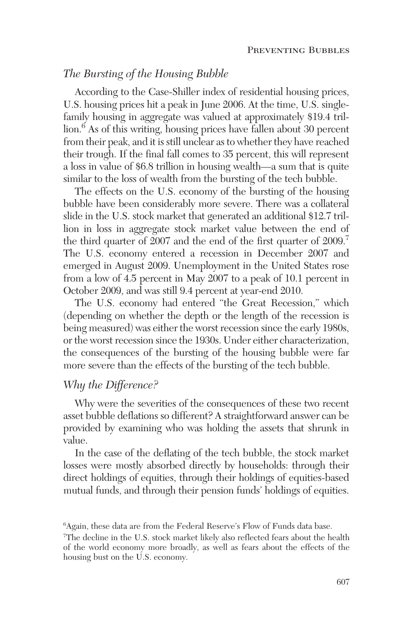# *The Bursting of the Housing Bubble*

According to the Case-Shiller index of residential housing prices, U.S. housing prices hit a peak in June 2006. At the time, U.S. singlefamily housing in aggregate was valued at approximately \$19.4 trillion.<sup>6</sup> As of this writing, housing prices have fallen about 30 percent from their peak, and it is still unclear as to whether they have reached their trough. If the final fall comes to 35 percent, this will represent a loss in value of \$6.8 trillion in housing wealth—a sum that is quite similar to the loss of wealth from the bursting of the tech bubble.

The effects on the U.S. economy of the bursting of the housing bubble have been considerably more severe. There was a collateral slide in the U.S. stock market that generated an additional \$12.7 trillion in loss in aggregate stock market value between the end of the third quarter of 2007 and the end of the first quarter of 2009.<sup>7</sup> The U.S. economy entered a recession in December 2007 and emerged in August 2009. Unemployment in the United States rose from a low of 4.5 percent in May 2007 to a peak of 10.1 percent in October 2009, and was still 9.4 percent at year-end 2010.

The U.S. economy had entered "the Great Recession," which (depending on whether the depth or the length of the recession is being measured) was either the worst recession since the early 1980s, or the worst recession since the 1930s. Under either characterization, the consequences of the bursting of the housing bubble were far more severe than the effects of the bursting of the tech bubble.

# *Why the Difference?*

Why were the severities of the consequences of these two recent asset bubble deflations so different? A straightforward answer can be provided by examining who was holding the assets that shrunk in value.

In the case of the deflating of the tech bubble, the stock market losses were mostly absorbed directly by households: through their direct holdings of equities, through their holdings of equities-based mutual funds, and through their pension funds' holdings of equities.

<sup>6</sup> Again, these data are from the Federal Reserve's Flow of Funds data base.

<sup>7</sup> The decline in the U.S. stock market likely also reflected fears about the health of the world economy more broadly, as well as fears about the effects of the housing bust on the U.S. economy.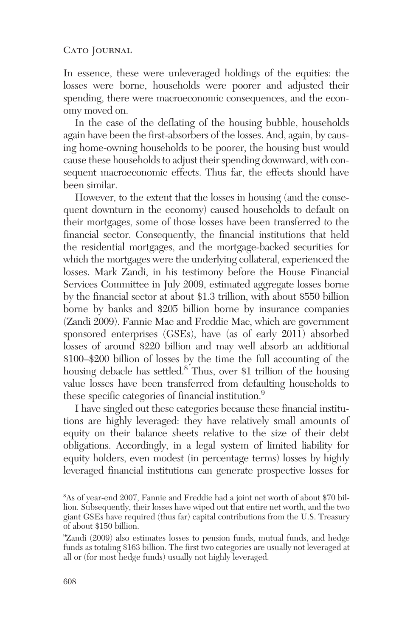In essence, these were unleveraged holdings of the equities: the losses were borne, households were poorer and adjusted their spending, there were macroeconomic consequences, and the economy moved on.

In the case of the deflating of the housing bubble, households again have been the first-absorbers of the losses. And, again, by causing home-owning households to be poorer, the housing bust would cause these households to adjust their spending downward, with consequent macroeconomic effects. Thus far, the effects should have been similar.

However, to the extent that the losses in housing (and the consequent downturn in the economy) caused households to default on their mortgages, some of those losses have been transferred to the financial sector. Consequently, the financial institutions that held the residential mortgages, and the mortgage-backed securities for which the mortgages were the underlying collateral, experienced the losses. Mark Zandi, in his testimony before the House Financial Services Committee in July 2009, estimated aggregate losses borne by the financial sector at about \$1.3 trillion, with about \$550 billion borne by banks and \$205 billion borne by insurance companies (Zandi 2009). Fannie Mae and Freddie Mac, which are government sponsored enterprises (GSEs), have (as of early 2011) absorbed losses of around \$220 billion and may well absorb an additional \$100–\$200 billion of losses by the time the full accounting of the housing debacle has settled.<sup>8</sup> Thus, over \$1 trillion of the housing value losses have been transferred from defaulting households to these specific categories of financial institution.<sup>9</sup>

I have singled out these categories because these financial institutions are highly leveraged: they have relatively small amounts of equity on their balance sheets relative to the size of their debt obligations. Accordingly, in a legal system of limited liability for equity holders, even modest (in percentage terms) losses by highly leveraged financial institutions can generate prospective losses for

<sup>8</sup> As of year-end 2007, Fannie and Freddie had a joint net worth of about \$70 billion. Subsequently, their losses have wiped out that entire net worth, and the two giant GSEs have required (thus far) capital contributions from the U.S. Treasury of about \$150 billion.

<sup>9</sup> Zandi (2009) also estimates losses to pension funds, mutual funds, and hedge funds as totaling \$163 billion. The first two categories are usually not leveraged at all or (for most hedge funds) usually not highly leveraged.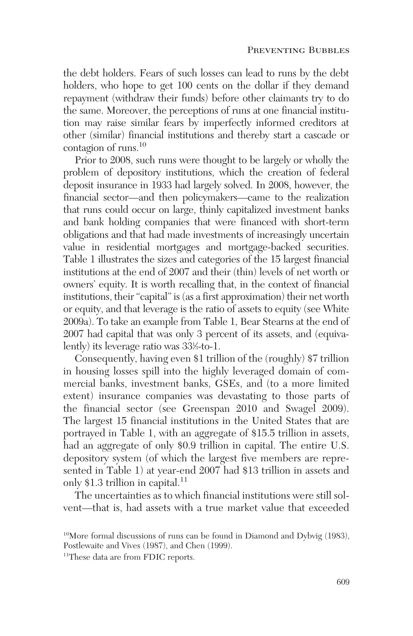the debt holders. Fears of such losses can lead to runs by the debt holders, who hope to get 100 cents on the dollar if they demand repayment (withdraw their funds) before other claimants try to do the same. Moreover, the perceptions of runs at one financial institution may raise similar fears by imperfectly informed creditors at other (similar) financial institutions and thereby start a cascade or contagion of runs.10

Prior to 2008, such runs were thought to be largely or wholly the problem of depository institutions, which the creation of federal deposit insurance in 1933 had largely solved. In 2008, however, the financial sector—and then policymakers—came to the realization that runs could occur on large, thinly capitalized investment banks and bank holding companies that were financed with short-term obligations and that had made investments of increasingly uncertain value in residential mortgages and mortgage-backed securities. Table 1 illustrates the sizes and categories of the 15 largest financial institutions at the end of 2007 and their (thin) levels of net worth or owners' equity. It is worth recalling that, in the context of financial institutions, their "capital" is (as a first approximation) their net worth or equity, and that leverage is the ratio of assets to equity (see White 2009a). To take an example from Table 1, Bear Stearns at the end of 2007 had capital that was only 3 percent of its assets, and (equivalently) its leverage ratio was 331 ⁄3-to-1.

Consequently, having even \$1 trillion of the (roughly) \$7 trillion in housing losses spill into the highly leveraged domain of commercial banks, investment banks, GSEs, and (to a more limited extent) insurance companies was devastating to those parts of the financial sector (see Greenspan 2010 and Swagel 2009). The largest 15 financial institutions in the United States that are portrayed in Table 1, with an aggregate of \$15.5 trillion in assets, had an aggregate of only \$0.9 trillion in capital. The entire U.S. depository system (of which the largest five members are represented in Table 1) at year-end 2007 had \$13 trillion in assets and only \$1.3 trillion in capital.<sup>11</sup>

The uncertainties as to which financial institutions were still solvent—that is, had assets with a true market value that exceeded

<sup>11</sup>These data are from FDIC reports.

<sup>10</sup>More formal discussions of runs can be found in Diamond and Dybvig (1983), Postlewaite and Vives (1987), and Chen (1999).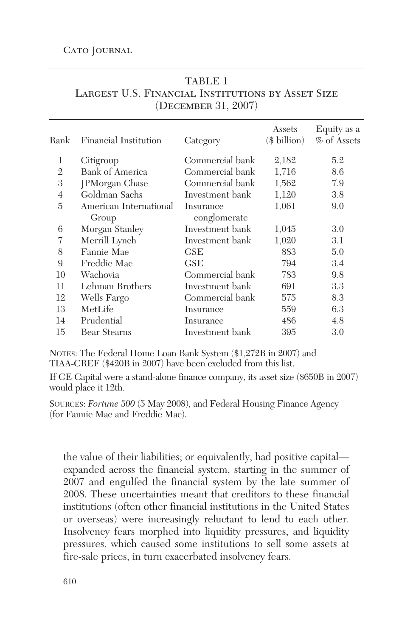| Rank           | Financial Institution  | Category        | Assets<br>$($$ billion $)$ | Equity as a<br>% of Assets |
|----------------|------------------------|-----------------|----------------------------|----------------------------|
| 1              | Citigroup              | Commercial bank | 2,182                      | 5.2                        |
| $\mathfrak{D}$ | <b>Bank of America</b> | Commercial bank | 1,716                      | 8.6                        |
| 3              | <b>JPMorgan Chase</b>  | Commercial bank | 1,562                      | 7.9                        |
| $\overline{4}$ | Goldman Sachs          | Investment bank | 1,120                      | 3.8                        |
| 5              | American International | Insurance       | 1,061                      | 9.0                        |
|                | Group                  | conglomerate    |                            |                            |
| 6              | Morgan Stanley         | Investment bank | 1,045                      | 3.0                        |
| 7              | Merrill Lynch          | Investment bank | 1,020                      | 3.1                        |
| 8              | Fannie Mae             | GSE             | 883                        | 5.0                        |
| 9              | Freddie Mac            | GSE             | 794                        | 3.4                        |
| 10             | Wachovia               | Commercial bank | 783                        | 9.8                        |
| 11             | Lehman Brothers        | Investment bank | 691                        | 3.3                        |
| 12             | Wells Fargo            | Commercial bank | 575                        | 8.3                        |
| 13             | MetLife                | Insurance       | 559                        | 6.3                        |
| 14             | Prudential             | Insurance       | 486                        | 4.8                        |
| 15             | <b>Bear Stearns</b>    | Investment bank | 395                        | 3.0                        |
|                |                        |                 |                            |                            |

## TABLE 1 Largest U.S. Financial Institutions by Asset Size (December 31, 2007)

NOTES: The Federal Home Loan Bank System (\$1,272B in 2007) and TIAA-CREF (\$420B in 2007) have been excluded from this list.

If GE Capital were a stand-alone finance company, its asset size (\$650B in 2007) would place it 12th.

SOURCES: *Fortune 500* (5 May 2008), and Federal Housing Finance Agency (for Fannie Mae and Freddie Mac).

the value of their liabilities; or equivalently, had positive capital expanded across the financial system, starting in the summer of 2007 and engulfed the financial system by the late summer of 2008. These uncertainties meant that creditors to these financial institutions (often other financial institutions in the United States or overseas) were increasingly reluctant to lend to each other. Insolvency fears morphed into liquidity pressures, and liquidity pressures, which caused some institutions to sell some assets at fire-sale prices, in turn exacerbated insolvency fears.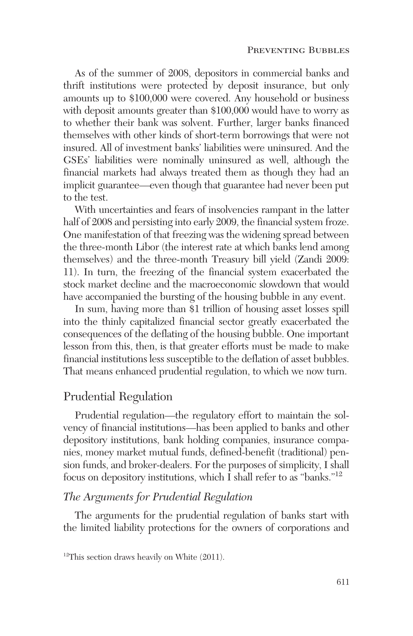As of the summer of 2008, depositors in commercial banks and thrift institutions were protected by deposit insurance, but only amounts up to \$100,000 were covered. Any household or business with deposit amounts greater than \$100,000 would have to worry as to whether their bank was solvent. Further, larger banks financed themselves with other kinds of short-term borrowings that were not insured. All of investment banks' liabilities were uninsured. And the GSEs' liabilities were nominally uninsured as well, although the financial markets had always treated them as though they had an implicit guarantee—even though that guarantee had never been put to the test.

With uncertainties and fears of insolvencies rampant in the latter half of 2008 and persisting into early 2009, the financial system froze. One manifestation of that freezing was the widening spread between the three-month Libor (the interest rate at which banks lend among themselves) and the three-month Treasury bill yield (Zandi 2009: 11). In turn, the freezing of the financial system exacerbated the stock market decline and the macroeconomic slowdown that would have accompanied the bursting of the housing bubble in any event.

In sum, having more than \$1 trillion of housing asset losses spill into the thinly capitalized financial sector greatly exacerbated the consequences of the deflating of the housing bubble. One important lesson from this, then, is that greater efforts must be made to make financial institutions less susceptible to the deflation of asset bubbles. That means enhanced prudential regulation, to which we now turn.

## Prudential Regulation

Prudential regulation—the regulatory effort to maintain the solvency of financial institutions—has been applied to banks and other depository institutions, bank holding companies, insurance companies, money market mutual funds, defined-benefit (traditional) pension funds, and broker-dealers. For the purposes of simplicity, I shall focus on depository institutions, which I shall refer to as "banks."12

## *The Arguments for Prudential Regulation*

The arguments for the prudential regulation of banks start with the limited liability protections for the owners of corporations and

 $12$ This section draws heavily on White (2011).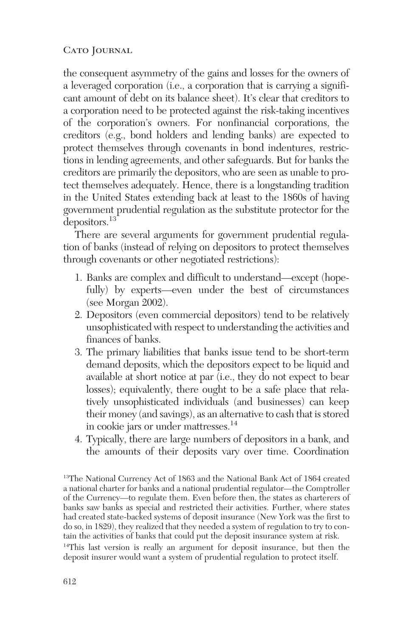the consequent asymmetry of the gains and losses for the owners of a leveraged corporation (i.e., a corporation that is carrying a significant amount of debt on its balance sheet). It's clear that creditors to a corporation need to be protected against the risk-taking incentives of the corporation's owners. For nonfinancial corporations, the creditors (e.g., bond holders and lending banks) are expected to protect themselves through covenants in bond indentures, restrictions in lending agreements, and other safeguards. But for banks the creditors are primarily the depositors, who are seen as unable to protect themselves adequately. Hence, there is a longstanding tradition in the United States extending back at least to the 1860s of having government prudential regulation as the substitute protector for the depositors.<sup>13</sup>

There are several arguments for government prudential regulation of banks (instead of relying on depositors to protect themselves through covenants or other negotiated restrictions):

- 1. Banks are complex and difficult to understand—except (hopefully) by experts—even under the best of circumstances (see Morgan 2002).
- 2. Depositors (even commercial depositors) tend to be relatively unsophisticated with respect to understanding the activities and finances of banks.
- 3. The primary liabilities that banks issue tend to be short-term demand deposits, which the depositors expect to be liquid and available at short notice at par (i.e., they do not expect to bear losses); equivalently, there ought to be a safe place that relatively unsophisticated individuals (and businesses) can keep their money (and savings), as an alternative to cash that is stored in cookie jars or under mattresses.<sup>14</sup>
- 4. Typically, there are large numbers of depositors in a bank, and the amounts of their deposits vary over time. Coordination

<sup>13</sup>The National Currency Act of 1863 and the National Bank Act of 1864 created a national charter for banks and a national prudential regulator—the Comptroller of the Currency—to regulate them. Even before then, the states as charterers of banks saw banks as special and restricted their activities. Further, where states had created state-backed systems of deposit insurance (New York was the first to do so, in 1829), they realized that they needed a system of regulation to try to contain the activities of banks that could put the deposit insurance system at risk. 14This last version is really an argument for deposit insurance, but then the deposit insurer would want a system of prudential regulation to protect itself.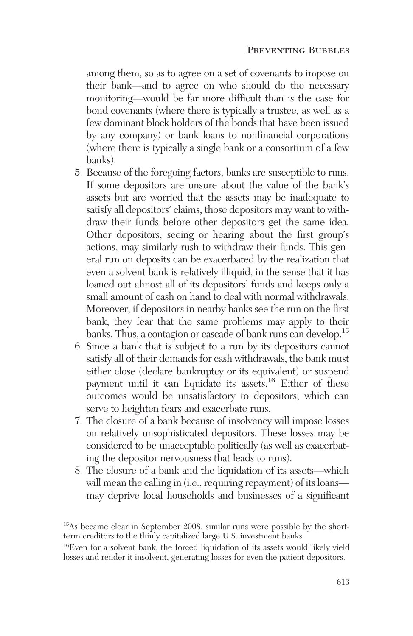among them, so as to agree on a set of covenants to impose on their bank—and to agree on who should do the necessary monitoring—would be far more difficult than is the case for bond covenants (where there is typically a trustee, as well as a few dominant block holders of the bonds that have been issued by any company) or bank loans to nonfinancial corporations (where there is typically a single bank or a consortium of a few banks).

- 5. Because of the foregoing factors, banks are susceptible to runs. If some depositors are unsure about the value of the bank's assets but are worried that the assets may be inadequate to satisfy all depositors' claims, those depositors may want to withdraw their funds before other depositors get the same idea. Other depositors, seeing or hearing about the first group's actions, may similarly rush to withdraw their funds. This general run on deposits can be exacerbated by the realization that even a solvent bank is relatively illiquid, in the sense that it has loaned out almost all of its depositors' funds and keeps only a small amount of cash on hand to deal with normal withdrawals. Moreover, if depositors in nearby banks see the run on the first bank, they fear that the same problems may apply to their banks. Thus, a contagion or cascade of bank runs can develop.<sup>15</sup>
- 6. Since a bank that is subject to a run by its depositors cannot satisfy all of their demands for cash withdrawals, the bank must either close (declare bankruptcy or its equivalent) or suspend payment until it can liquidate its assets.<sup>16</sup> Either of these outcomes would be unsatisfactory to depositors, which can serve to heighten fears and exacerbate runs.
- 7. The closure of a bank because of insolvency will impose losses on relatively unsophisticated depositors. These losses may be considered to be unacceptable politically (as well as exacerbating the depositor nervousness that leads to runs).
- 8. The closure of a bank and the liquidation of its assets—which will mean the calling in (i.e., requiring repayment) of its loans may deprive local households and businesses of a significant

<sup>&</sup>lt;sup>15</sup>As became clear in September 2008, similar runs were possible by the shortterm creditors to the thinly capitalized large U.S. investment banks.

<sup>16</sup>Even for a solvent bank, the forced liquidation of its assets would likely yield losses and render it insolvent, generating losses for even the patient depositors.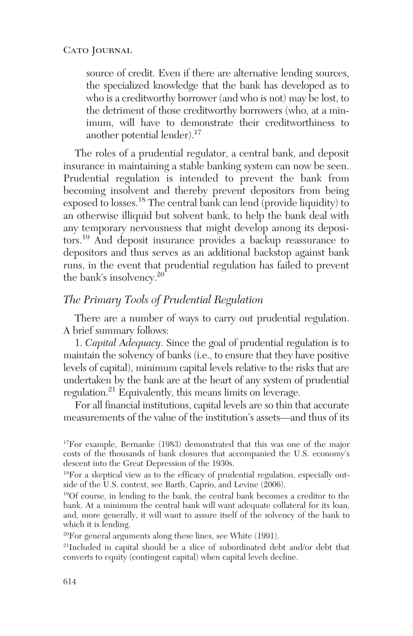source of credit. Even if there are alternative lending sources, the specialized knowledge that the bank has developed as to who is a creditworthy borrower (and who is not) may be lost, to the detriment of those creditworthy borrowers (who, at a minimum, will have to demonstrate their creditworthiness to another potential lender).<sup>17</sup>

The roles of a prudential regulator, a central bank, and deposit insurance in maintaining a stable banking system can now be seen. Prudential regulation is intended to prevent the bank from becoming insolvent and thereby prevent depositors from being exposed to losses.18 The central bank can lend (provide liquidity) to an otherwise illiquid but solvent bank, to help the bank deal with any temporary nervousness that might develop among its depositors.19 And deposit insurance provides a backup reassurance to depositors and thus serves as an additional backstop against bank runs, in the event that prudential regulation has failed to prevent the bank's insolvency.<sup>20</sup>

## *The Primary Tools of Prudential Regulation*

There are a number of ways to carry out prudential regulation. A brief summary follows:

1. *Capital Adequacy*. Since the goal of prudential regulation is to maintain the solvency of banks (i.e., to ensure that they have positive levels of capital), minimum capital levels relative to the risks that are undertaken by the bank are at the heart of any system of prudential regulation.21 Equivalently, this means limits on leverage.

For all financial institutions, capital levels are so thin that accurate measurements of the value of the institution's assets—and thus of its

<sup>17</sup>For example, Bernanke (1983) demonstrated that this was one of the major costs of the thousands of bank closures that accompanied the U.S. economy's descent into the Great Depression of the 1930s.

<sup>18</sup>For a skeptical view as to the efficacy of prudential regulation, especially outside of the U.S. context, see Barth, Caprio, and Levine (2006).

<sup>19</sup>Of course, in lending to the bank, the central bank becomes a creditor to the bank. At a minimum the central bank will want adequate collateral for its loan, and, more generally, it will want to assure itself of the solvency of the bank to which it is lending.

<sup>20</sup>For general arguments along these lines, see White (1991).

<sup>21</sup>Included in capital should be a slice of subordinated debt and/or debt that converts to equity (contingent capital) when capital levels decline.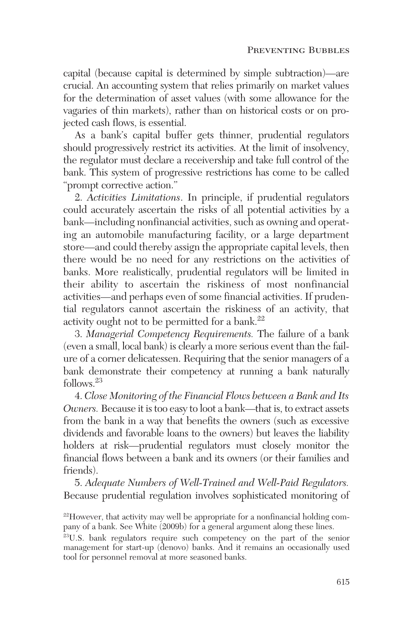capital (because capital is determined by simple subtraction)—are crucial. An accounting system that relies primarily on market values for the determination of asset values (with some allowance for the vagaries of thin markets), rather than on historical costs or on projected cash flows, is essential.

As a bank's capital buffer gets thinner, prudential regulators should progressively restrict its activities. At the limit of insolvency, the regulator must declare a receivership and take full control of the bank. This system of progressive restrictions has come to be called "prompt corrective action."

2. *Activities Limitations*. In principle, if prudential regulators could accurately ascertain the risks of all potential activities by a bank—including nonfinancial activities, such as owning and operating an automobile manufacturing facility, or a large department store—and could thereby assign the appropriate capital levels, then there would be no need for any restrictions on the activities of banks. More realistically, prudential regulators will be limited in their ability to ascertain the riskiness of most nonfinancial activities—and perhaps even of some financial activities. If prudential regulators cannot ascertain the riskiness of an activity, that activity ought not to be permitted for a bank. $^{22}$ 

3. *Managerial Competency Requirements.* The failure of a bank (even a small, local bank) is clearly a more serious event than the failure of a corner delicatessen. Requiring that the senior managers of a bank demonstrate their competency at running a bank naturally follows.23

4. *Close Monitoring of the Financial Flows between a Bank and Its Owners.* Because it is too easy to loot a bank—that is, to extract assets from the bank in a way that benefits the owners (such as excessive dividends and favorable loans to the owners) but leaves the liability holders at risk—prudential regulators must closely monitor the financial flows between a bank and its owners (or their families and friends).

5. *Adequate Numbers of Well-Trained and Well-Paid Regulators.* Because prudential regulation involves sophisticated monitoring of

<sup>22</sup>However, that activity may well be appropriate for a nonfinancial holding company of a bank. See White (2009b) for a general argument along these lines.

<sup>23</sup>U.S. bank regulators require such competency on the part of the senior management for start-up (denovo) banks. And it remains an occasionally used tool for personnel removal at more seasoned banks.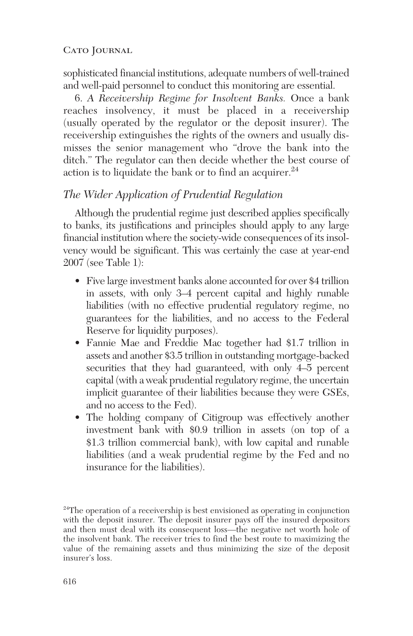sophisticated financial institutions, adequate numbers of well-trained and well-paid personnel to conduct this monitoring are essential.

6. *A Receivership Regime for Insolvent Banks.* Once a bank reaches insolvency, it must be placed in a receivership (usually operated by the regulator or the deposit insurer). The receivership extinguishes the rights of the owners and usually dismisses the senior management who "drove the bank into the ditch." The regulator can then decide whether the best course of action is to liquidate the bank or to find an acquirer.<sup>24</sup>

# *The Wider Application of Prudential Regulation*

Although the prudential regime just described applies specifically to banks, its justifications and principles should apply to any large financial institution where the society-wide consequences of its insolvency would be significant. This was certainly the case at year-end 2007 (see Table 1):

- Five large investment banks alone accounted for over \$4 trillion in assets, with only 3–4 percent capital and highly runable liabilities (with no effective prudential regulatory regime, no guarantees for the liabilities, and no access to the Federal Reserve for liquidity purposes).
- Fannie Mae and Freddie Mac together had \$1.7 trillion in assets and another \$3.5 trillion in outstanding mortgage-backed securities that they had guaranteed, with only 4–5 percent capital (with a weak prudential regulatory regime, the uncertain implicit guarantee of their liabilities because they were GSEs, and no access to the Fed).
- The holding company of Citigroup was effectively another investment bank with \$0.9 trillion in assets (on top of a \$1.3 trillion commercial bank), with low capital and runable liabilities (and a weak prudential regime by the Fed and no insurance for the liabilities).

 $24$ The operation of a receivership is best envisioned as operating in conjunction with the deposit insurer. The deposit insurer pays off the insured depositors and then must deal with its consequent loss—the negative net worth hole of the insolvent bank. The receiver tries to find the best route to maximizing the value of the remaining assets and thus minimizing the size of the deposit insurer's loss.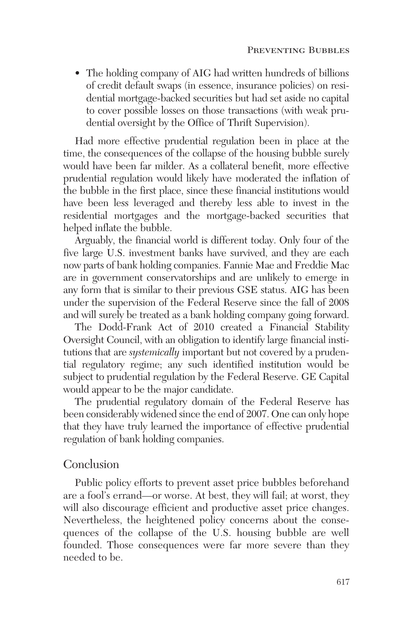• The holding company of AIG had written hundreds of billions of credit default swaps (in essence, insurance policies) on residential mortgage-backed securities but had set aside no capital to cover possible losses on those transactions (with weak prudential oversight by the Office of Thrift Supervision).

Had more effective prudential regulation been in place at the time, the consequences of the collapse of the housing bubble surely would have been far milder. As a collateral benefit, more effective prudential regulation would likely have moderated the inflation of the bubble in the first place, since these financial institutions would have been less leveraged and thereby less able to invest in the residential mortgages and the mortgage-backed securities that helped inflate the bubble.

Arguably, the financial world is different today. Only four of the five large U.S. investment banks have survived, and they are each now parts of bank holding companies. Fannie Mae and Freddie Mac are in government conservatorships and are unlikely to emerge in any form that is similar to their previous GSE status. AIG has been under the supervision of the Federal Reserve since the fall of 2008 and will surely be treated as a bank holding company going forward.

The Dodd-Frank Act of 2010 created a Financial Stability Oversight Council, with an obligation to identify large financial institutions that are *systemically* important but not covered by a prudential regulatory regime; any such identified institution would be subject to prudential regulation by the Federal Reserve. GE Capital would appear to be the major candidate.

The prudential regulatory domain of the Federal Reserve has been considerably widened since the end of 2007. One can only hope that they have truly learned the importance of effective prudential regulation of bank holding companies.

# Conclusion

Public policy efforts to prevent asset price bubbles beforehand are a fool's errand—or worse. At best, they will fail; at worst, they will also discourage efficient and productive asset price changes. Nevertheless, the heightened policy concerns about the consequences of the collapse of the U.S. housing bubble are well founded. Those consequences were far more severe than they needed to be.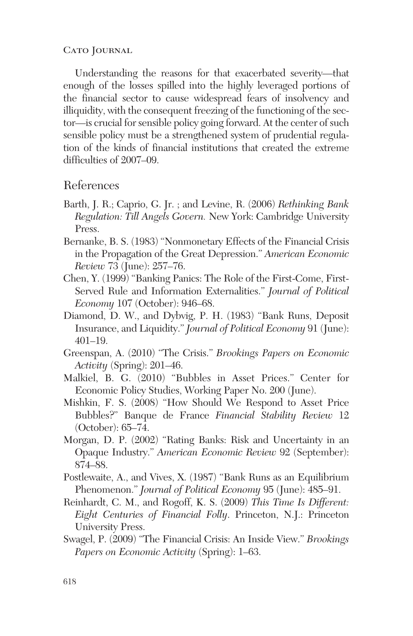Understanding the reasons for that exacerbated severity—that enough of the losses spilled into the highly leveraged portions of the financial sector to cause widespread fears of insolvency and illiquidity, with the consequent freezing of the functioning of the sector—is crucial for sensible policy going forward. At the center of such sensible policy must be a strengthened system of prudential regulation of the kinds of financial institutions that created the extreme difficulties of 2007–09.

# References

- Barth, J. R.; Caprio, G. Jr. ; and Levine, R. (2006) *Rethinking Bank Regulation: Till Angels Govern.* New York: Cambridge University Press.
- Bernanke, B. S. (1983) "Nonmonetary Effects of the Financial Crisis in the Propagation of the Great Depression." *American Economic Review* 73 (June): 257–76.
- Chen, Y. (1999) "Banking Panics: The Role of the First-Come, First-Served Rule and Information Externalities." *Journal of Political Economy* 107 (October): 946–68.
- Diamond, D. W., and Dybvig, P. H. (1983) "Bank Runs, Deposit Insurance, and Liquidity." *Journal of Political Economy* 91 (June): 401–19.
- Greenspan, A. (2010) "The Crisis." *Brookings Papers on Economic Activity* (Spring): 201–46.
- Malkiel, B. G. (2010) "Bubbles in Asset Prices." Center for Economic Policy Studies, Working Paper No. 200 (June).
- Mishkin, F. S. (2008) "How Should We Respond to Asset Price Bubbles?" Banque de France *Financial Stability Review* 12 (October): 65–74.
- Morgan, D. P. (2002) "Rating Banks: Risk and Uncertainty in an Opaque Industry." *American Economic Review* 92 (September): 874–88.
- Postlewaite, A., and Vives, X. (1987) "Bank Runs as an Equilibrium Phenomenon." *Journal of Political Economy* 95 (June): 485–91.
- Reinhardt, C. M., and Rogoff, K. S. (2009) *This Time Is Different: Eight Centuries of Financial Folly*. Princeton, N.J.: Princeton University Press.
- Swagel, P. (2009) "The Financial Crisis: An Inside View." *Brookings Papers on Economic Activity* (Spring): 1–63.